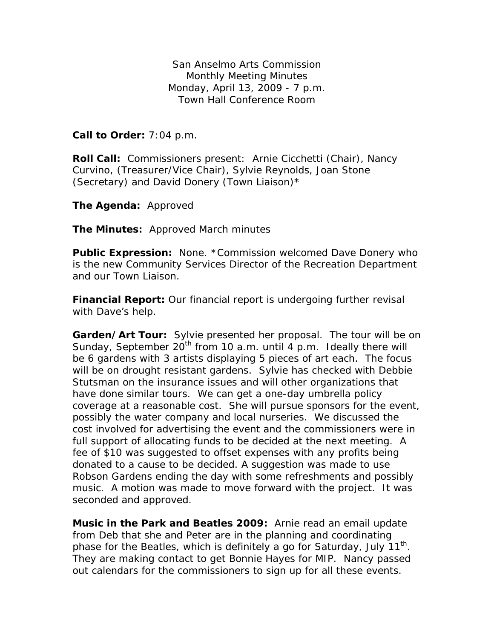San Anselmo Arts Commission Monthly Meeting Minutes Monday, April 13, 2009 - 7 p.m. Town Hall Conference Room

**Call to Order:** 7:04 p.m.

**Roll Call:** Commissioners present: Arnie Cicchetti (Chair), Nancy Curvino, (Treasurer/Vice Chair), Sylvie Reynolds, Joan Stone (Secretary) and David Donery (Town Liaison)\*

**The Agenda:** Approved

**The Minutes:** Approved March minutes

**Public Expression:** None. \*Commission welcomed Dave Donery who is the new Community Services Director of the Recreation Department and our Town Liaison.

**Financial Report:** Our financial report is undergoing further revisal with Dave's help.

**Garden/Art Tour:** Sylvie presented her proposal. The tour will be on Sunday, September 20<sup>th</sup> from 10 a.m. until 4 p.m. Ideally there will be 6 gardens with 3 artists displaying 5 pieces of art each. The focus will be on drought resistant gardens. Sylvie has checked with Debbie Stutsman on the insurance issues and will other organizations that have done similar tours. We can get a one-day umbrella policy coverage at a reasonable cost. She will pursue sponsors for the event, possibly the water company and local nurseries. We discussed the cost involved for advertising the event and the commissioners were in full support of allocating funds to be decided at the next meeting. A fee of \$10 was suggested to offset expenses with any profits being donated to a cause to be decided. A suggestion was made to use Robson Gardens ending the day with some refreshments and possibly music. A motion was made to move forward with the project. It was seconded and approved.

**Music in the Park and Beatles 2009:** Arnie read an email update from Deb that she and Peter are in the planning and coordinating phase for the Beatles, which is definitely a go for Saturday, July  $11^{th}$ . They are making contact to get Bonnie Hayes for MIP. Nancy passed out calendars for the commissioners to sign up for all these events.